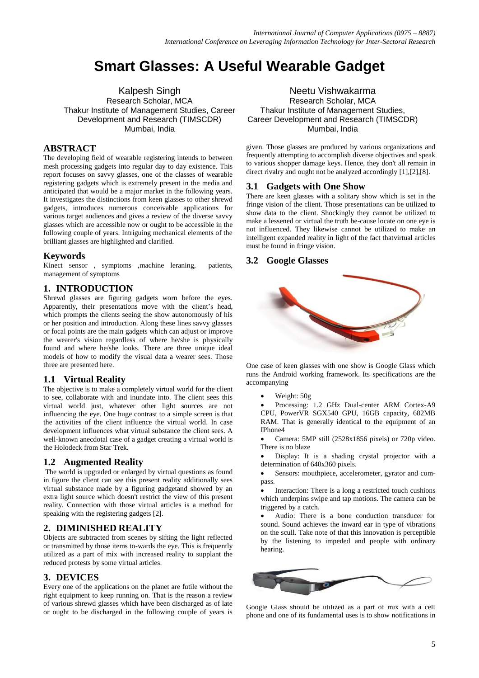# **Smart Glasses: A Useful Wearable Gadget**

Research Scholar, MCA Thakur Institute of Management Studies, Career Development and Research (TIMSCDR) Mumbai, India

## **ABSTRACT**

The developing field of wearable registering intends to between mesh processing gadgets into regular day to day existence. This report focuses on savvy glasses, one of the classes of wearable registering gadgets which is extremely present in the media and anticipated that would be a major market in the following years. It investigates the distinctions from keen glasses to other shrewd gadgets, introduces numerous conceivable applications for various target audiences and gives a review of the diverse savvy glasses which are accessible now or ought to be accessible in the following couple of years. Intriguing mechanical elements of the brilliant glasses are highlighted and clarified.

#### **Keywords**

Kinect sensor , symptoms ,machine leraning, patients, management of symptoms

## **1. INTRODUCTION**

Shrewd glasses are figuring gadgets worn before the eyes. Apparently, their presentations move with the client's head, which prompts the clients seeing the show autonomously of his or her position and introduction. Along these lines savvy glasses or focal points are the main gadgets which can adjust or improve the wearer's vision regardless of where he/she is physically found and where he/she looks. There are three unique ideal models of how to modify the visual data a wearer sees. Those three are presented here.

#### **1.1 Virtual Reality**

The objective is to make a completely virtual world for the client to see, collaborate with and inundate into. The client sees this virtual world just, whatever other light sources are not influencing the eye. One huge contrast to a simple screen is that the activities of the client influence the virtual world. In case development influences what virtual substance the client sees. A well-known anecdotal case of a gadget creating a virtual world is the Holodeck from Star Trek.

#### **1.2 Augmented Reality**

The world is upgraded or enlarged by virtual questions as found in figure the client can see this present reality additionally sees virtual substance made by a figuring gadgetand showed by an extra light source which doesn't restrict the view of this present reality. Connection with those virtual articles is a method for speaking with the registering gadgets [2].

## **2. DIMINISHED REALITY**

Objects are subtracted from scenes by sifting the light reflected or transmitted by those items to-wards the eye. This is frequently utilized as a part of mix with increased reality to supplant the reduced protests by some virtual articles.

#### **3. DEVICES**

Every one of the applications on the planet are futile without the right equipment to keep running on. That is the reason a review of various shrewd glasses which have been discharged as of late or ought to be discharged in the following couple of years is

Kalpesh Singh Neetu Vishwakarma Research Scholar, MCA Thakur Institute of Management Studies, Career Development and Research (TIMSCDR) Mumbai, India

> given. Those glasses are produced by various organizations and frequently attempting to accomplish diverse objectives and speak to various shopper damage keys. Hence, they don't all remain in direct rivalry and ought not be analyzed accordingly [1],[2],[8].

## **3.1 Gadgets with One Show**

There are keen glasses with a solitary show which is set in the fringe vision of the client. Those presentations can be utilized to show data to the client. Shockingly they cannot be utilized to make a lessened or virtual the truth be-cause locate on one eye is not influenced. They likewise cannot be utilized to make an intelligent expanded reality in light of the fact thatvirtual articles must be found in fringe vision.

## **3.2 Google Glasses**



One case of keen glasses with one show is Google Glass which runs the Android working framework. Its specifications are the accompanying

Weight: 50g

 Processing: 1.2 GHz Dual-center ARM Cortex-A9 CPU, PowerVR SGX540 GPU, 16GB capacity, 682MB RAM. That is generally identical to the equipment of an IPhone4

 Camera: 5MP still (2528x1856 pixels) or 720p video. There is no blaze

 Display: It is a shading crystal projector with a determination of 640x360 pixels.

 Sensors: mouthpiece, accelerometer, gyrator and compass.

 Interaction: There is a long a restricted touch cushions which underpins swipe and tap motions. The camera can be triggered by a catch.

 Audio: There is a bone conduction transducer for sound. Sound achieves the inward ear in type of vibrations on the scull. Take note of that this innovation is perceptible by the listening to impeded and people with ordinary hearing.



Google Glass should be utilized as a part of mix with a cell phone and one of its fundamental uses is to show notifications in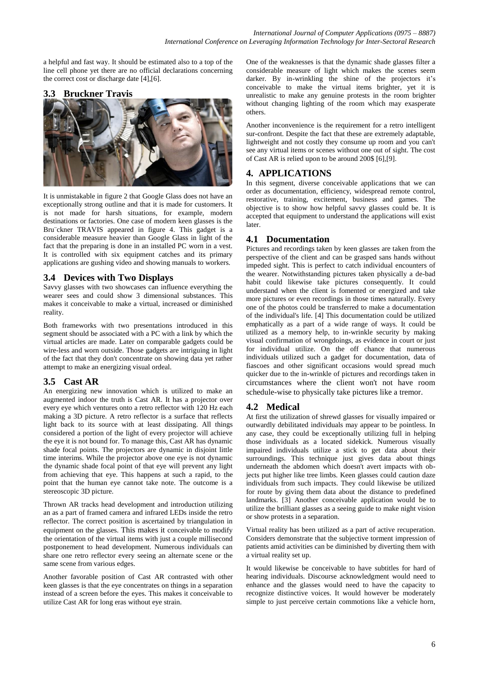a helpful and fast way. It should be estimated also to a top of the line cell phone yet there are no official declarations concerning the correct cost or discharge date [4],[6].

#### **3.3 Bruckner Travis**



It is unmistakable in figure 2 that Google Glass does not have an exceptionally strong outline and that it is made for customers. It is not made for harsh situations, for example, modern destinations or factories. One case of modern keen glasses is the Bru¨ckner TRAVIS appeared in figure 4. This gadget is a considerable measure heavier than Google Glass in light of the fact that the preparing is done in an installed PC worn in a vest. It is controlled with six equipment catches and its primary applications are gushing video and showing manuals to workers.

#### **3.4 Devices with Two Displays**

Savvy glasses with two showcases can influence everything the wearer sees and could show 3 dimensional substances. This makes it conceivable to make a virtual, increased or diminished reality.

Both frameworks with two presentations introduced in this segment should be associated with a PC with a link by which the virtual articles are made. Later on comparable gadgets could be wire-less and worn outside. Those gadgets are intriguing in light of the fact that they don't concentrate on showing data yet rather attempt to make an energizing visual ordeal.

## **3.5 Cast AR**

An energizing new innovation which is utilized to make an augmented indoor the truth is Cast AR. It has a projector over every eye which ventures onto a retro reflector with 120 Hz each making a 3D picture. A retro reflector is a surface that reflects light back to its source with at least dissipating. All things considered a portion of the light of every projector will achieve the eye it is not bound for. To manage this, Cast AR has dynamic shade focal points. The projectors are dynamic in disjoint little time interims. While the projector above one eye is not dynamic the dynamic shade focal point of that eye will prevent any light from achieving that eye. This happens at such a rapid, to the point that the human eye cannot take note. The outcome is a stereoscopic 3D picture.

Thrown AR tracks head development and introduction utilizing an as a part of framed camera and infrared LEDs inside the retro reflector. The correct position is ascertained by triangulation in equipment on the glasses. This makes it conceivable to modify the orientation of the virtual items with just a couple millisecond postponement to head development. Numerous individuals can share one retro reflector every seeing an alternate scene or the same scene from various edges.

Another favorable position of Cast AR contrasted with other keen glasses is that the eye concentrates on things in a separation instead of a screen before the eyes. This makes it conceivable to utilize Cast AR for long eras without eye strain.

One of the weaknesses is that the dynamic shade glasses filter a considerable measure of light which makes the scenes seem darker. By in-wrinkling the shine of the projectors it's conceivable to make the virtual items brighter, yet it is unrealistic to make any genuine protests in the room brighter without changing lighting of the room which may exasperate others.

Another inconvenience is the requirement for a retro intelligent sur-confront. Despite the fact that these are extremely adaptable. lightweight and not costly they consume up room and you can't see any virtual items or scenes without one out of sight. The cost of Cast AR is relied upon to be around 200\$ [6],[9].

## **4. APPLICATIONS**

In this segment, diverse conceivable applications that we can order as documentation, efficiency, widespread remote control, restorative, training, excitement, business and games. The objective is to show how helpful savvy glasses could be. It is accepted that equipment to understand the applications will exist later.

#### **4.1 Documentation**

Pictures and recordings taken by keen glasses are taken from the perspective of the client and can be grasped sans hands without impeded sight. This is perfect to catch individual encounters of the wearer. Notwithstanding pictures taken physically a de-bad habit could likewise take pictures consequently. It could understand when the client is fomented or energized and take more pictures or even recordings in those times naturally. Every one of the photos could be transferred to make a documentation of the individual's life. [4] This documentation could be utilized emphatically as a part of a wide range of ways. It could be utilized as a memory help, to in-wrinkle security by making visual confirmation of wrongdoings, as evidence in court or just for individual utilize. On the off chance that numerous individuals utilized such a gadget for documentation, data of fiascoes and other significant occasions would spread much quicker due to the in-wrinkle of pictures and recordings taken in circumstances where the client won't not have room schedule-wise to physically take pictures like a tremor.

## **4.2 Medical**

At first the utilization of shrewd glasses for visually impaired or outwardly debilitated individuals may appear to be pointless. In any case, they could be exceptionally utilizing full in helping those individuals as a located sidekick. Numerous visually impaired individuals utilize a stick to get data about their surroundings. This technique just gives data about things underneath the abdomen which doesn't avert impacts with objects put higher like tree limbs. Keen glasses could caution daze individuals from such impacts. They could likewise be utilized for route by giving them data about the distance to predefined landmarks. [3] Another conceivable application would be to utilize the brilliant glasses as a seeing guide to make night vision or show protests in a separation.

Virtual reality has been utilized as a part of active recuperation. Considers demonstrate that the subjective torment impression of patients amid activities can be diminished by diverting them with a virtual reality set up.

It would likewise be conceivable to have subtitles for hard of hearing individuals. Discourse acknowledgment would need to enhance and the glasses would need to have the capacity to recognize distinctive voices. It would however be moderately simple to just perceive certain commotions like a vehicle horn,